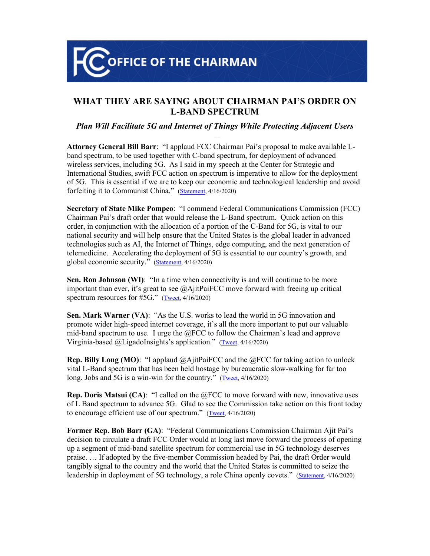**OFFICE OF THE CHAIRMAN** 

## **WHAT THEY ARE SAYING ABOUT CHAIRMAN PAI'S ORDER ON L-BAND SPECTRUM**

## *Plan Will Facilitate 5G and Internet of Things While Protecting Adjacent Users*

**Attorney General Bill Barr**: "I applaud FCC Chairman Pai's proposal to make available Lband spectrum, to be used together with C-band spectrum, for deployment of advanced wireless services, including 5G. As I said in my speech at the Center for Strategic and International Studies, swift FCC action on spectrum is imperative to allow for the deployment of 5G. This is essential if we are to keep our economic and technological leadership and avoid forfeiting it to Communist China." [\(Statement](https://twitter.com/TheJusticeDept/status/1250810112970821637), 4/16/2020)

**Secretary of State Mike Pompeo**: "I commend Federal Communications Commission (FCC) Chairman Pai's draft order that would release the L-Band spectrum. Quick action on this order, in conjunction with the allocation of a portion of the C-Band for 5G, is vital to our national security and will help ensure that the United States is the global leader in advanced technologies such as AI, the Internet of Things, edge computing, and the next generation of telemedicine. Accelerating the deployment of 5G is essential to our country's growth, and global economic security." [\(Statement](https://www.state.gov/support-for-5g-and-internet-of-things-development/#.XpjfB432BdM.twitter), 4/16/2020)

**Sen. Ron Johnson (WI)**: "In a time when connectivity is and will continue to be more important than ever, it's great to see @AjitPaiFCC move forward with freeing up critical spectrum resources for #5G." [\(Tweet,](https://twitter.com/SenRonJohnson/status/1250897020870701056) 4/16/2020)

**Sen. Mark Warner (VA)**: "As the U.S. works to lead the world in 5G innovation and promote wider high-speed internet coverage, it's all the more important to put our valuable mid-band spectrum to use. I urge the @FCC to follow the Chairman's lead and approve Virginia-based @LigadoInsights's application." [\(Tweet,](https://twitter.com/MarkWarner/status/1250903502529978369) 4/16/2020)

**Rep. Billy Long (MO)**: "I applaud  $@A$  it PaiFCC and the  $@FCC$  for taking action to unlock vital L-Band spectrum that has been held hostage by bureaucratic slow-walking for far too long. Jobs and 5G is a win-win for the country." [\(Tweet,](https://twitter.com/USRepLong/status/1250818267511488516) 4/16/2020)

**Rep. Doris Matsui (CA)**: "I called on the @FCC to move forward with new, innovative uses of L Band spectrum to advance 5G. Glad to see the Commission take action on this front today to encourage efficient use of our spectrum." [\(Tweet,](https://twitter.com/DorisMatsui/status/1250890527337299968) 4/16/2020)

**Former Rep. Bob Barr (GA)**: "Federal Communications Commission Chairman Ajit Pai's decision to circulate a draft FCC Order would at long last move forward the process of opening up a segment of mid-band satellite spectrum for commercial use in 5G technology deserves praise. … If adopted by the five-member Commission headed by Pai, the draft Order would tangibly signal to the country and the world that the United States is committed to seize the leadership in deployment of 5G technology, a role China openly covets." [\(Statement](https://twitter.com/bobbarr/status/1251180860197474305), 4/16/2020)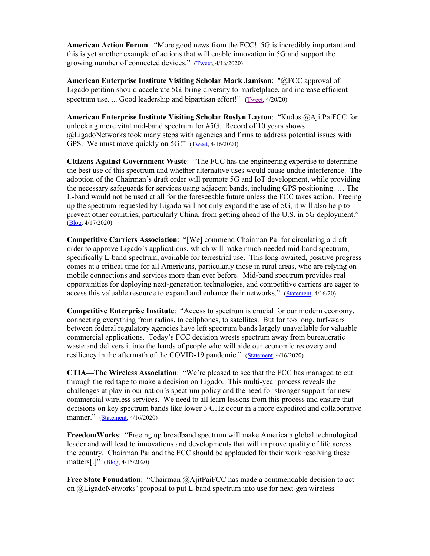**American Action Forum**: "More good news from the FCC! 5G is incredibly important and this is yet another example of actions that will enable innovation in 5G and support the growing number of connected devices." ([Tweet](https://twitter.com/jrhuddles/status/1250817522410180612), 4/16/2020)

**American Enterprise Institute Visiting Scholar Mark Jamison**: "@FCC approval of Ligado petition should accelerate 5G, bring diversity to marketplace, and increase efficient spectrum use. ... Good leadership and bipartisan effort!" ([Tweet](https://twitter.com/drj_policy/status/1252255412780519427), 4/20/20)

**American Enterprise Institute Visiting Scholar Roslyn Layton**: "Kudos @AjitPaiFCC for unlocking more vital mid-band spectrum for #5G. Record of 10 years shows @LigadoNetworks took many steps with agencies and firms to address potential issues with GPS. We must move quickly on 5G!" [\(Tweet,](https://twitter.com/RoslynLayton/status/1250803794956427271) 4/16/2020)

**Citizens Against Government Waste**: "The FCC has the engineering expertise to determine the best use of this spectrum and whether alternative uses would cause undue interference. The adoption of the Chairman's draft order will promote 5G and IoT development, while providing the necessary safeguards for services using adjacent bands, including GPS positioning. … The L-band would not be used at all for the foreseeable future unless the FCC takes action. Freeing up the spectrum requested by Ligado will not only expand the use of 5G, it will also help to prevent other countries, particularly China, from getting ahead of the U.S. in 5G deployment." [\(Blog,](https://www.cagw.org/thewastewatcher/fcc-moves-forward-l-band-proceeding) 4/17/2020)

**Competitive Carriers Association**: "[We] commend Chairman Pai for circulating a draft order to approve Ligado's applications, which will make much-needed mid-band spectrum, specifically L-band spectrum, available for terrestrial use. This long-awaited, positive progress comes at a critical time for all Americans, particularly those in rural areas, who are relying on mobile connections and services more than ever before. Mid-band spectrum provides real opportunities for deploying next-generation technologies, and competitive carriers are eager to access this valuable resource to expand and enhance their networks." [\(Statement](https://www.ccamobile.org/cca-statement-on-chairman-pai-s-draft-order-to-approve-ligado-s-application), 4/16/20)

**Competitive Enterprise Institute**: "Access to spectrum is crucial for our modern economy, connecting everything from radios, to cellphones, to satellites. But for too long, turf-wars between federal regulatory agencies have left spectrum bands largely unavailable for valuable commercial applications. Today's FCC decision wrests spectrum away from bureaucratic waste and delivers it into the hands of people who will aide our economic recovery and resiliency in the aftermath of the COVID-19 pandemic." ([Statement,](https://cei.org/content/cei-praises-fcc-decision-open-spectrum-business-use) 4/16/2020)

**CTIA—The Wireless Association**: "We're pleased to see that the FCC has managed to cut through the red tape to make a decision on Ligado. This multi-year process reveals the challenges at play in our nation's spectrum policy and the need for stronger support for new commercial wireless services. We need to all learn lessons from this process and ensure that decisions on key spectrum bands like lower 3 GHz occur in a more expedited and collaborative manner." ([Statement,](https://www.multichannel.com/news/ag-barr-praises-fcc-ligado-item-as-helping-beat-china-to-5g) 4/16/2020)

**FreedomWorks**: "Freeing up broadband spectrum will make America a global technological leader and will lead to innovations and developments that will improve quality of life across the country. Chairman Pai and the FCC should be applauded for their work resolving these matters[.]" [\(Blog,](https://www.freedomworks.org/content/fcc-order-paves-way-innovation-fights-back-cronyism) 4/15/2020)

**Free State Foundation**: "Chairman @AjitPaiFCC has made a commendable decision to act on @LigadoNetworks' proposal to put L-band spectrum into use for next-gen wireless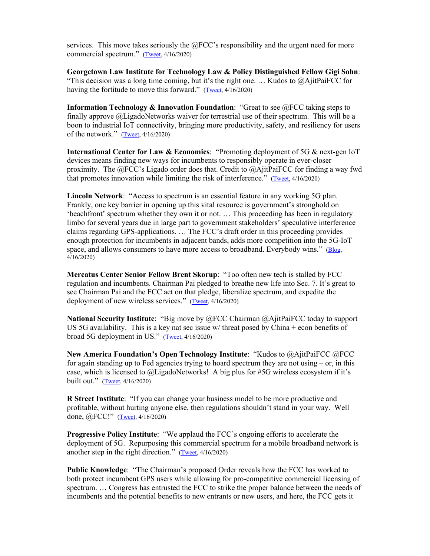services. This move takes seriously the @FCC's responsibility and the urgent need for more commercial spectrum." ([Tweet](https://twitter.com/CooperFSF/status/1250849831637053440), 4/16/2020)

**Georgetown Law Institute for Technology Law & Policy Distinguished Fellow Gigi Sohn**: "This decision was a long time coming, but it's the right one. … Kudos to @AjitPaiFCC for having the fortitude to move this forward." ([Tweet](https://twitter.com/gigibsohn/status/1250804241888948226), 4/16/2020)

**Information Technology & Innovation Foundation**: "Great to see @FCC taking steps to finally approve @LigadoNetworks waiver for terrestrial use of their spectrum. This will be a boon to industrial IoT connectivity, bringing more productivity, safety, and resiliency for users of the network." ([Tweet](https://twitter.com/dbrakeITIF/status/1250798061296717824), 4/16/2020)

**International Center for Law & Economics**: "Promoting deployment of 5G & next-gen IoT devices means finding new ways for incumbents to responsibly operate in ever-closer proximity. The @FCC's Ligado order does that. Credit to @AjitPaiFCC for finding a way fwd that promotes innovation while limiting the risk of interference." ([Tweet](https://twitter.com/LawEconCenter/status/1251175931349069824), 4/16/2020)

**Lincoln Network**: "Access to spectrum is an essential feature in any working 5G plan. Frankly, one key barrier in opening up this vital resource is government's stronghold on 'beachfront' spectrum whether they own it or not. … This proceeding has been in regulatory limbo for several years due in large part to government stakeholders' speculative interference claims regarding GPS-applications. … The FCC's draft order in this proceeding provides enough protection for incumbents in adjacent bands, adds more competition into the 5G-IoT space, and allows consumers to have more access to broadband. Everybody wins." [\(Blog,](https://lincolnpolicy.org/2020/04/16/fcc-takes-action-to-free-up-underutilized-spectrum/) 4/16/2020)

**Mercatus Center Senior Fellow Brent Skorup**: "Too often new tech is stalled by FCC regulation and incumbents. Chairman Pai pledged to breathe new life into Sec. 7. It's great to see Chairman Pai and the FCC act on that pledge, liberalize spectrum, and expedite the deployment of new wireless services." [\(Tweet,](https://twitter.com/bskorup/status/1251180693838798848) 4/16/2020)

**National Security Institute**: "Big move by @FCC Chairman @AjitPaiFCC today to support US 5G availability. This is a key nat sec issue w/ threat posed by China + econ benefits of broad 5G deployment in US." ([Tweet](https://twitter.com/jamil_n_jaffer/status/1250807825850302465), 4/16/2020)

**New America Foundation's Open Technology Institute**: "Kudos to @AjitPaiFCC @FCC for again standing up to Fed agencies trying to hoard spectrum they are not using  $-$  or, in this case, which is licensed to @LigadoNetworks! A big plus for #5G wireless ecosystem if it's built out." ([Tweet,](https://twitter.com/MCalabreseNAF/status/1250804165200101376) 4/16/2020)

**R Street Institute**: "If you can change your business model to be more productive and profitable, without hurting anyone else, then regulations shouldn't stand in your way. Well done, @FCC!" [\(Tweet,](https://twitter.com/tstruble/status/1250803447487758336) 4/16/2020)

**Progressive Policy Institute**: "We applaud the FCC's ongoing efforts to accelerate the deployment of 5G. Repurposing this commercial spectrum for a mobile broadband network is another step in the right direction." ([Tweet](https://twitter.com/ppi/status/1250871973783240704), 4/16/2020)

**Public Knowledge**: "The Chairman's proposed Order reveals how the FCC has worked to both protect incumbent GPS users while allowing for pro-competitive commercial licensing of spectrum. … Congress has entrusted the FCC to strike the proper balance between the needs of incumbents and the potential benefits to new entrants or new users, and here, the FCC gets it